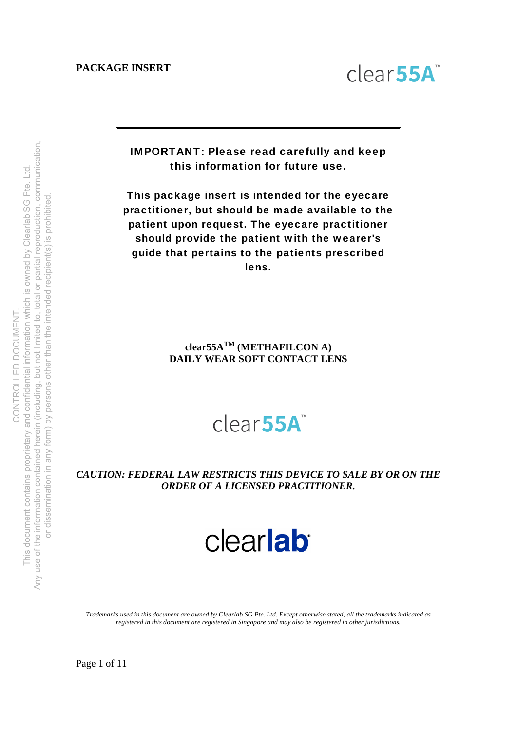

IMPORTANT: Please read carefully and keep this information for future use.

This package insert is intended for the eyecare practitioner, but should be made available to the patient upon request. The eyecare practitioner should provide the patient with the wearer's guide that pertains to the patients prescribed lens.

# **clear55ATM (METHAFILCON A) DAILY WEAR SOFT CONTACT LENS**

# clear<sub>55A</sub>

# *CAUTION: FEDERAL LAW RESTRICTS THIS DEVICE TO SALE BY OR ON THE ORDER OF A LICENSED PRACTITIONER.*

# clearlab

*Trademarks used in this document are owned by Clearlab SG Pte. Ltd. Except otherwise stated, all the trademarks indicated as registered in this document are registered in Singapore and may also be registered in other jurisdictions.*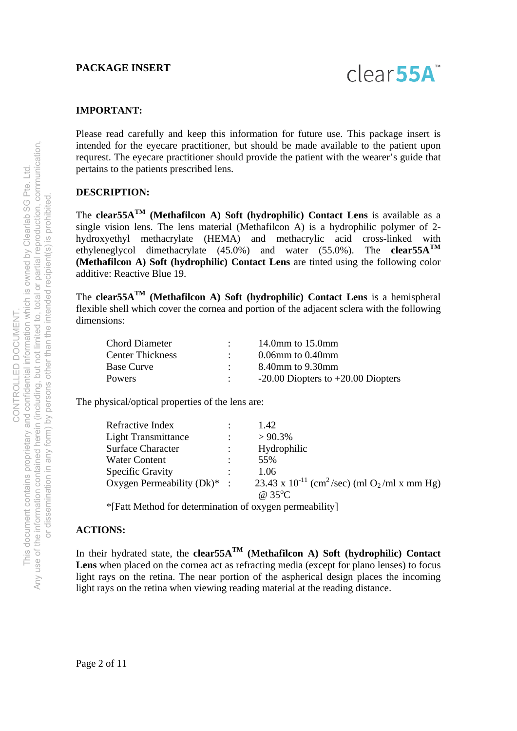

#### **IMPORTANT:**

Please read carefully and keep this information for future use. This package insert is intended for the eyecare practitioner, but should be made available to the patient upon requrest. The eyecare practitioner should provide the patient with the wearer's guide that pertains to the patients prescribed lens.

#### **DESCRIPTION:**

The **clear55ATM (Methafilcon A) Soft (hydrophilic) Contact Lens** is available as a single vision lens. The lens material (Methafilcon A) is a hydrophilic polymer of 2 hydroxyethyl methacrylate (HEMA) and methacrylic acid cross-linked with ethyleneglycol dimethacrylate (45.0%) and water (55.0%). The **clear55ATM (Methafilcon A) Soft (hydrophilic) Contact Lens** are tinted using the following color additive: Reactive Blue 19.

The **clear55ATM (Methafilcon A) Soft (hydrophilic) Contact Lens** is a hemispheral flexible shell which cover the cornea and portion of the adjacent sclera with the following dimensions:

| <b>Chord Diameter</b>   | 14.0 $mm$ to 15.0 $mm$                 |
|-------------------------|----------------------------------------|
| <b>Center Thickness</b> | $0.06$ mm to $0.40$ mm                 |
| <b>Base Curve</b>       | 8.40mm to 9.30mm                       |
| <b>Powers</b>           | $-20.00$ Diopters to $+20.00$ Diopters |

The physical/optical properties of the lens are:

| Refractive Index               | 1.42                                                                             |
|--------------------------------|----------------------------------------------------------------------------------|
| <b>Light Transmittance</b>     | $> 90.3\%$                                                                       |
| <b>Surface Character</b>       | Hydrophilic                                                                      |
| Water Content                  | 55%                                                                              |
| <b>Specific Gravity</b>        | 1.06                                                                             |
| Oxygen Permeability $(Dk)^*$ : | 23.43 x 10 <sup>-11</sup> (cm <sup>2</sup> /sec) (ml O <sub>2</sub> /ml x mm Hg) |
|                                | @ $35^{\circ}$ C                                                                 |

\*[Fatt Method for determination of oxygen permeability]

#### **ACTIONS:**

In their hydrated state, the **clear55A**<sup>TM</sup> (Methafilcon A) Soft (hydrophilic) Contact **Lens** when placed on the cornea act as refracting media (except for plano lenses) to focus light rays on the retina. The near portion of the aspherical design places the incoming light rays on the retina when viewing reading material at the reading distance.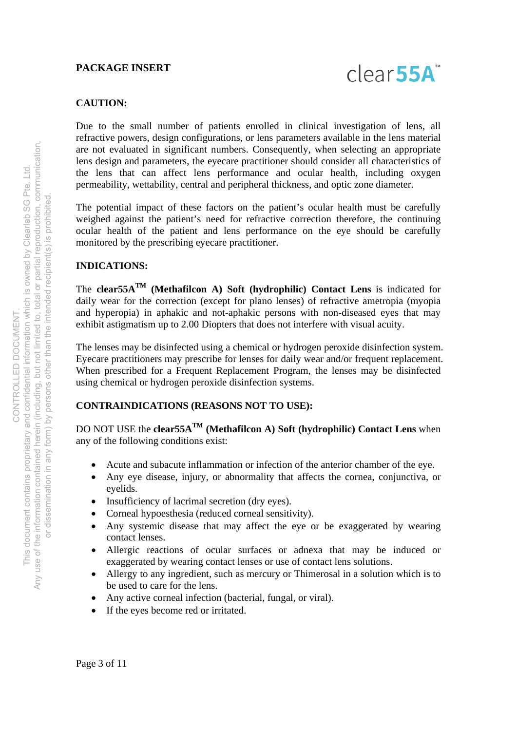

#### **CAUTION:**

Due to the small number of patients enrolled in clinical investigation of lens, all refractive powers, design configurations, or lens parameters available in the lens material are not evaluated in significant numbers. Consequently, when selecting an appropriate lens design and parameters, the eyecare practitioner should consider all characteristics of the lens that can affect lens performance and ocular health, including oxygen permeability, wettability, central and peripheral thickness, and optic zone diameter.

The potential impact of these factors on the patient's ocular health must be carefully weighed against the patient's need for refractive correction therefore, the continuing ocular health of the patient and lens performance on the eye should be carefully monitored by the prescribing eyecare practitioner.

#### **INDICATIONS:**

The **clear55ATM (Methafilcon A) Soft (hydrophilic) Contact Lens** is indicated for daily wear for the correction (except for plano lenses) of refractive ametropia (myopia and hyperopia) in aphakic and not-aphakic persons with non-diseased eyes that may exhibit astigmatism up to 2.00 Diopters that does not interfere with visual acuity.

The lenses may be disinfected using a chemical or hydrogen peroxide disinfection system. Eyecare practitioners may prescribe for lenses for daily wear and/or frequent replacement. When prescribed for a Frequent Replacement Program, the lenses may be disinfected using chemical or hydrogen peroxide disinfection systems.

# **CONTRAINDICATIONS (REASONS NOT TO USE):**

DO NOT USE the **clear55ATM (Methafilcon A) Soft (hydrophilic) Contact Lens** when any of the following conditions exist:

- Acute and subacute inflammation or infection of the anterior chamber of the eye.
- Any eye disease, injury, or abnormality that affects the cornea, conjunctiva, or eyelids.
- Insufficiency of lacrimal secretion (dry eyes).
- Corneal hypoesthesia (reduced corneal sensitivity).
- Any systemic disease that may affect the eye or be exaggerated by wearing contact lenses.
- Allergic reactions of ocular surfaces or adnexa that may be induced or exaggerated by wearing contact lenses or use of contact lens solutions.
- Allergy to any ingredient, such as mercury or Thimerosal in a solution which is to be used to care for the lens.
- Any active corneal infection (bacterial, fungal, or viral).
- If the eyes become red or irritated.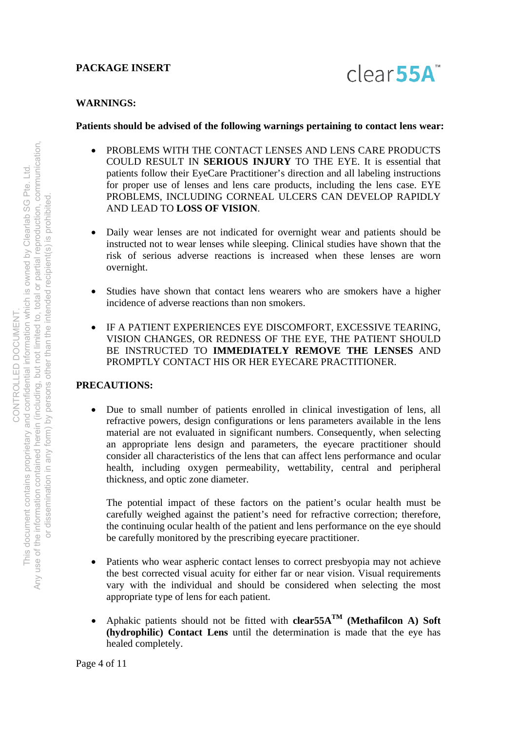

#### **WARNINGS:**

#### **Patients should be advised of the following warnings pertaining to contact lens wear:**

- PROBLEMS WITH THE CONTACT LENSES AND LENS CARE PRODUCTS COULD RESULT IN **SERIOUS INJURY** TO THE EYE. It is essential that patients follow their EyeCare Practitioner's direction and all labeling instructions for proper use of lenses and lens care products, including the lens case. EYE PROBLEMS, INCLUDING CORNEAL ULCERS CAN DEVELOP RAPIDLY AND LEAD TO **LOSS OF VISION**.
- Daily wear lenses are not indicated for overnight wear and patients should be instructed not to wear lenses while sleeping. Clinical studies have shown that the risk of serious adverse reactions is increased when these lenses are worn overnight.
- Studies have shown that contact lens wearers who are smokers have a higher incidence of adverse reactions than non smokers.
- IF A PATIENT EXPERIENCES EYE DISCOMFORT, EXCESSIVE TEARING, VISION CHANGES, OR REDNESS OF THE EYE, THE PATIENT SHOULD BE INSTRUCTED TO **IMMEDIATELY REMOVE THE LENSES** AND PROMPTLY CONTACT HIS OR HER EYECARE PRACTITIONER.

#### **PRECAUTIONS:**

 Due to small number of patients enrolled in clinical investigation of lens, all refractive powers, design configurations or lens parameters available in the lens material are not evaluated in significant numbers. Consequently, when selecting an appropriate lens design and parameters, the eyecare practitioner should consider all characteristics of the lens that can affect lens performance and ocular health, including oxygen permeability, wettability, central and peripheral thickness, and optic zone diameter.

The potential impact of these factors on the patient's ocular health must be carefully weighed against the patient's need for refractive correction; therefore, the continuing ocular health of the patient and lens performance on the eye should be carefully monitored by the prescribing eyecare practitioner.

- Patients who wear aspheric contact lenses to correct presbyopia may not achieve the best corrected visual acuity for either far or near vision. Visual requirements vary with the individual and should be considered when selecting the most appropriate type of lens for each patient.
- Aphakic patients should not be fitted with **clear55A**<sup>TM</sup> (Methafilcon A) Soft **(hydrophilic) Contact Lens** until the determination is made that the eye has healed completely.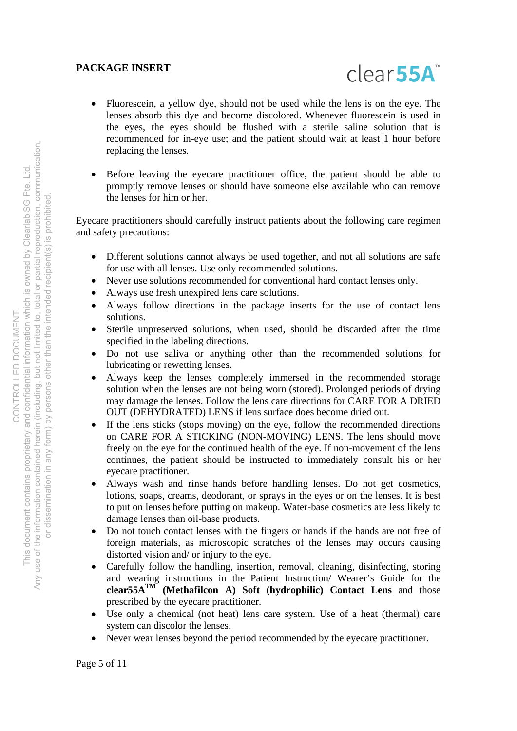

- Fluorescein, a yellow dye, should not be used while the lens is on the eye. The lenses absorb this dye and become discolored. Whenever fluorescein is used in the eyes, the eyes should be flushed with a sterile saline solution that is recommended for in-eye use; and the patient should wait at least 1 hour before replacing the lenses.
- Before leaving the eyecare practitioner office, the patient should be able to promptly remove lenses or should have someone else available who can remove the lenses for him or her.

Eyecare practitioners should carefully instruct patients about the following care regimen and safety precautions:

- Different solutions cannot always be used together, and not all solutions are safe for use with all lenses. Use only recommended solutions.
- Never use solutions recommended for conventional hard contact lenses only.
- Always use fresh unexpired lens care solutions.
- Always follow directions in the package inserts for the use of contact lens solutions.
- Sterile unpreserved solutions, when used, should be discarded after the time specified in the labeling directions.
- Do not use saliva or anything other than the recommended solutions for lubricating or rewetting lenses.
- Always keep the lenses completely immersed in the recommended storage solution when the lenses are not being worn (stored). Prolonged periods of drying may damage the lenses. Follow the lens care directions for CARE FOR A DRIED OUT (DEHYDRATED) LENS if lens surface does become dried out.
- If the lens sticks (stops moving) on the eye, follow the recommended directions on CARE FOR A STICKING (NON-MOVING) LENS. The lens should move freely on the eye for the continued health of the eye. If non-movement of the lens continues, the patient should be instructed to immediately consult his or her eyecare practitioner.
- Always wash and rinse hands before handling lenses. Do not get cosmetics, lotions, soaps, creams, deodorant, or sprays in the eyes or on the lenses. It is best to put on lenses before putting on makeup. Water-base cosmetics are less likely to damage lenses than oil-base products.
- Do not touch contact lenses with the fingers or hands if the hands are not free of foreign materials, as microscopic scratches of the lenses may occurs causing distorted vision and/ or injury to the eye.
- Carefully follow the handling, insertion, removal, cleaning, disinfecting, storing and wearing instructions in the Patient Instruction/ Wearer's Guide for the **clear55ATM (Methafilcon A) Soft (hydrophilic) Contact Lens** and those prescribed by the eyecare practitioner.
- Use only a chemical (not heat) lens care system. Use of a heat (thermal) care system can discolor the lenses.
- Never wear lenses beyond the period recommended by the eyecare practitioner.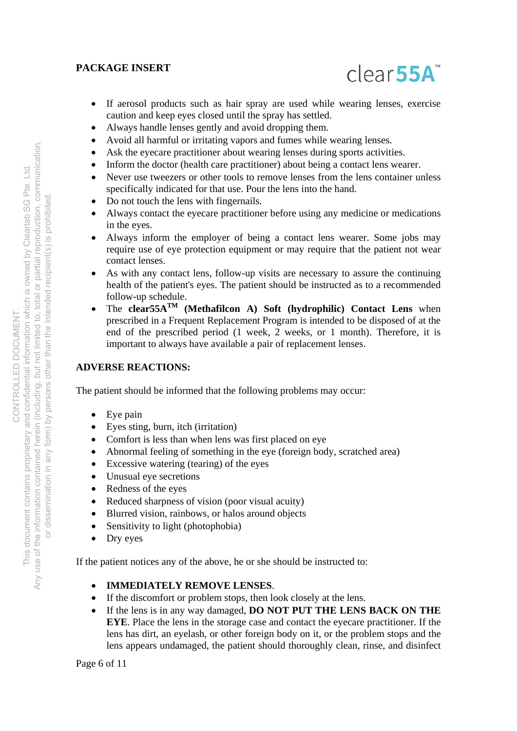

- If aerosol products such as hair spray are used while wearing lenses, exercise caution and keep eyes closed until the spray has settled.
- Always handle lenses gently and avoid dropping them.
- Avoid all harmful or irritating vapors and fumes while wearing lenses.
- Ask the eyecare practitioner about wearing lenses during sports activities.
- Inform the doctor (health care practitioner) about being a contact lens wearer.
- Never use tweezers or other tools to remove lenses from the lens container unless specifically indicated for that use. Pour the lens into the hand.
- Do not touch the lens with fingernails.
- Always contact the eyecare practitioner before using any medicine or medications in the eyes.
- Always inform the employer of being a contact lens wearer. Some jobs may require use of eye protection equipment or may require that the patient not wear contact lenses.
- As with any contact lens, follow-up visits are necessary to assure the continuing health of the patient's eyes. The patient should be instructed as to a recommended follow-up schedule.
- The **clear55ATM (Methafilcon A) Soft (hydrophilic) Contact Lens** when prescribed in a Frequent Replacement Program is intended to be disposed of at the end of the prescribed period (1 week, 2 weeks, or 1 month). Therefore, it is important to always have available a pair of replacement lenses.

# **ADVERSE REACTIONS:**

The patient should be informed that the following problems may occur:

- Eye pain
- Eyes sting, burn, itch (irritation)
- Comfort is less than when lens was first placed on eye
- Abnormal feeling of something in the eye (foreign body, scratched area)
- Excessive watering (tearing) of the eyes
- Unusual eye secretions
- Redness of the eyes
- Reduced sharpness of vision (poor visual acuity)
- Blurred vision, rainbows, or halos around objects
- Sensitivity to light (photophobia)
- Dry eyes

If the patient notices any of the above, he or she should be instructed to:

# **IMMEDIATELY REMOVE LENSES**.

- If the discomfort or problem stops, then look closely at the lens.
- If the lens is in any way damaged, **DO NOT PUT THE LENS BACK ON THE EYE**. Place the lens in the storage case and contact the eyecare practitioner. If the lens has dirt, an eyelash, or other foreign body on it, or the problem stops and the lens appears undamaged, the patient should thoroughly clean, rinse, and disinfect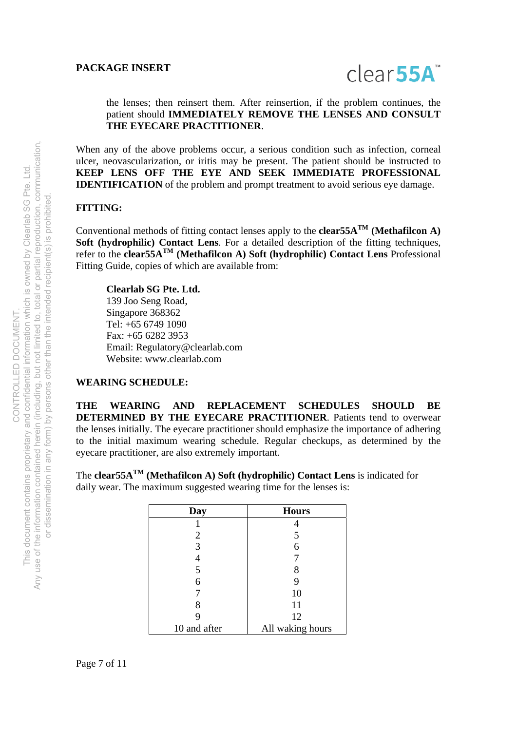

#### the lenses; then reinsert them. After reinsertion, if the problem continues, the patient should **IMMEDIATELY REMOVE THE LENSES AND CONSULT THE EYECARE PRACTITIONER**.

When any of the above problems occur, a serious condition such as infection, corneal ulcer, neovascularization, or iritis may be present. The patient should be instructed to **KEEP LENS OFF THE EYE AND SEEK IMMEDIATE PROFESSIONAL IDENTIFICATION** of the problem and prompt treatment to avoid serious eye damage.

# **FITTING:**

Conventional methods of fitting contact lenses apply to the **clear55A**<sup>TM</sup> (Methafilcon A) **Soft (hydrophilic) Contact Lens**. For a detailed description of the fitting techniques, refer to the **clear55ATM (Methafilcon A) Soft (hydrophilic) Contact Lens** Professional Fitting Guide, copies of which are available from:

**Clearlab SG Pte. Ltd.**  139 Joo Seng Road, Singapore 368362 Tel: +65 6749 1090 Fax: +65 6282 3953 Email: Regulatory@clearlab.com Website: www.clearlab.com

#### **WEARING SCHEDULE:**

**THE WEARING AND REPLACEMENT SCHEDULES SHOULD BE DETERMINED BY THE EYECARE PRACTITIONER**. Patients tend to overwear the lenses initially. The eyecare practitioner should emphasize the importance of adhering to the initial maximum wearing schedule. Regular checkups, as determined by the eyecare practitioner, are also extremely important.

The **clear55ATM (Methafilcon A) Soft (hydrophilic) Contact Lens** is indicated for daily wear. The maximum suggested wearing time for the lenses is:

| Day          | <b>Hours</b>     |
|--------------|------------------|
|              |                  |
| 2            | 5                |
| 3            | 6                |
|              |                  |
| 5            | 8                |
| 6            | 9                |
|              | 10               |
| 8            | 11               |
| 9            | 12               |
| 10 and after | All waking hours |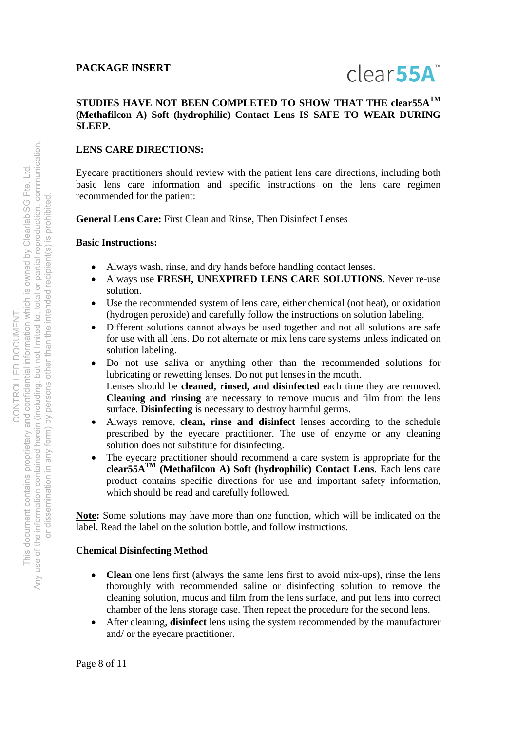# $clear55A"$

# **STUDIES HAVE NOT BEEN COMPLETED TO SHOW THAT THE clear55ATM (Methafilcon A) Soft (hydrophilic) Contact Lens IS SAFE TO WEAR DURING SLEEP.**

# **LENS CARE DIRECTIONS:**

Eyecare practitioners should review with the patient lens care directions, including both basic lens care information and specific instructions on the lens care regimen recommended for the patient:

**General Lens Care:** First Clean and Rinse, Then Disinfect Lenses

# **Basic Instructions:**

- Always wash, rinse, and dry hands before handling contact lenses.
- Always use **FRESH, UNEXPIRED LENS CARE SOLUTIONS**. Never re-use solution.
- Use the recommended system of lens care, either chemical (not heat), or oxidation (hydrogen peroxide) and carefully follow the instructions on solution labeling.
- Different solutions cannot always be used together and not all solutions are safe for use with all lens. Do not alternate or mix lens care systems unless indicated on solution labeling.
- Do not use saliva or anything other than the recommended solutions for lubricating or rewetting lenses. Do not put lenses in the mouth. Lenses should be **cleaned, rinsed, and disinfected** each time they are removed. **Cleaning and rinsing** are necessary to remove mucus and film from the lens surface. **Disinfecting** is necessary to destroy harmful germs.
- Always remove, **clean, rinse and disinfect** lenses according to the schedule prescribed by the eyecare practitioner. The use of enzyme or any cleaning solution does not substitute for disinfecting.
- The eyecare practitioner should recommend a care system is appropriate for the **clear55ATM (Methafilcon A) Soft (hydrophilic) Contact Lens**. Each lens care product contains specific directions for use and important safety information, which should be read and carefully followed.

**Note:** Some solutions may have more than one function, which will be indicated on the label. Read the label on the solution bottle, and follow instructions.

# **Chemical Disinfecting Method**

- **Clean** one lens first (always the same lens first to avoid mix-ups), rinse the lens thoroughly with recommended saline or disinfecting solution to remove the cleaning solution, mucus and film from the lens surface, and put lens into correct chamber of the lens storage case. Then repeat the procedure for the second lens.
- After cleaning, **disinfect** lens using the system recommended by the manufacturer and/ or the eyecare practitioner.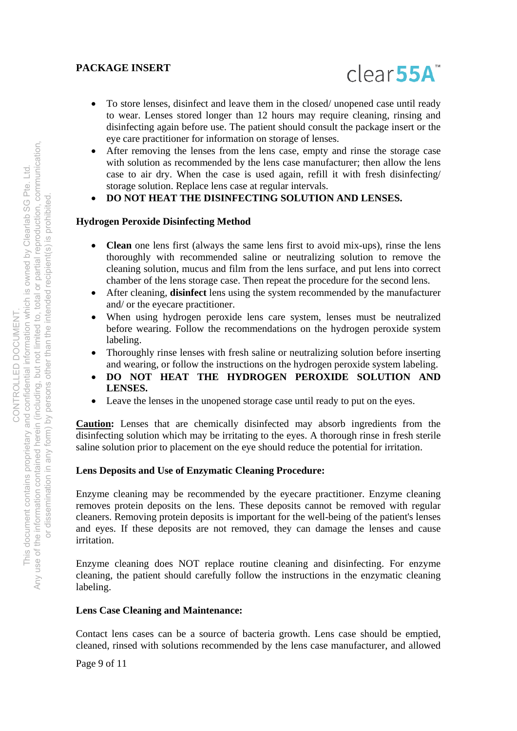

- To store lenses, disinfect and leave them in the closed/ unopened case until ready to wear. Lenses stored longer than 12 hours may require cleaning, rinsing and disinfecting again before use. The patient should consult the package insert or the eye care practitioner for information on storage of lenses.
- After removing the lenses from the lens case, empty and rinse the storage case with solution as recommended by the lens case manufacturer; then allow the lens case to air dry. When the case is used again, refill it with fresh disinfecting/ storage solution. Replace lens case at regular intervals.
- **DO NOT HEAT THE DISINFECTING SOLUTION AND LENSES.**

# **Hydrogen Peroxide Disinfecting Method**

- **Clean** one lens first (always the same lens first to avoid mix-ups), rinse the lens thoroughly with recommended saline or neutralizing solution to remove the cleaning solution, mucus and film from the lens surface, and put lens into correct chamber of the lens storage case. Then repeat the procedure for the second lens.
- After cleaning, **disinfect** lens using the system recommended by the manufacturer and/ or the eyecare practitioner.
- When using hydrogen peroxide lens care system, lenses must be neutralized before wearing. Follow the recommendations on the hydrogen peroxide system labeling.
- Thoroughly rinse lenses with fresh saline or neutralizing solution before inserting and wearing, or follow the instructions on the hydrogen peroxide system labeling.
- **DO NOT HEAT THE HYDROGEN PEROXIDE SOLUTION AND LENSES.**
- Leave the lenses in the unopened storage case until ready to put on the eyes.

**Caution:** Lenses that are chemically disinfected may absorb ingredients from the disinfecting solution which may be irritating to the eyes. A thorough rinse in fresh sterile saline solution prior to placement on the eye should reduce the potential for irritation.

# **Lens Deposits and Use of Enzymatic Cleaning Procedure:**

Enzyme cleaning may be recommended by the eyecare practitioner. Enzyme cleaning removes protein deposits on the lens. These deposits cannot be removed with regular cleaners. Removing protein deposits is important for the well-being of the patient's lenses and eyes. If these deposits are not removed, they can damage the lenses and cause irritation.

Enzyme cleaning does NOT replace routine cleaning and disinfecting. For enzyme cleaning, the patient should carefully follow the instructions in the enzymatic cleaning labeling.

# **Lens Case Cleaning and Maintenance:**

Contact lens cases can be a source of bacteria growth. Lens case should be emptied, cleaned, rinsed with solutions recommended by the lens case manufacturer, and allowed

Page 9 of 11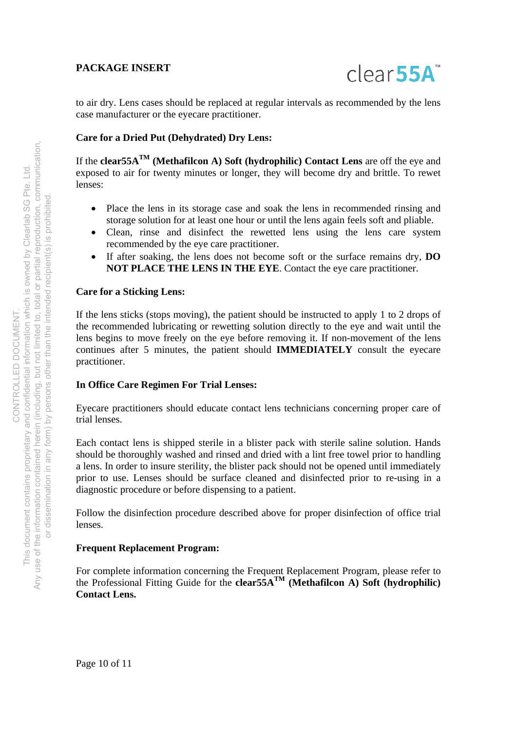

to air dry. Lens cases should be replaced at regular intervals as recommended by the lens case manufacturer or the eyecare practitioner.

#### **Care for a Dried Put (Dehydrated) Dry Lens:**

If the **clear55ATM (Methafilcon A) Soft (hydrophilic) Contact Lens** are off the eye and exposed to air for twenty minutes or longer, they will become dry and brittle. To rewet lenses:

- Place the lens in its storage case and soak the lens in recommended rinsing and storage solution for at least one hour or until the lens again feels soft and pliable.
- Clean, rinse and disinfect the rewetted lens using the lens care system recommended by the eye care practitioner.
- If after soaking, the lens does not become soft or the surface remains dry, **DO NOT PLACE THE LENS IN THE EYE**. Contact the eye care practitioner.

#### **Care for a Sticking Lens:**

If the lens sticks (stops moving), the patient should be instructed to apply 1 to 2 drops of the recommended lubricating or rewetting solution directly to the eye and wait until the lens begins to move freely on the eye before removing it. If non-movement of the lens continues after 5 minutes, the patient should **IMMEDIATELY** consult the eyecare practitioner.

#### **In Office Care Regimen For Trial Lenses:**

Eyecare practitioners should educate contact lens technicians concerning proper care of trial lenses.

Each contact lens is shipped sterile in a blister pack with sterile saline solution. Hands should be thoroughly washed and rinsed and dried with a lint free towel prior to handling a lens. In order to insure sterility, the blister pack should not be opened until immediately prior to use. Lenses should be surface cleaned and disinfected prior to re-using in a diagnostic procedure or before dispensing to a patient.

Follow the disinfection procedure described above for proper disinfection of office trial lenses.

#### **Frequent Replacement Program:**

For complete information concerning the Frequent Replacement Program, please refer to the Professional Fitting Guide for the **clear55A<sup>TM</sup>** (Methafilcon A) Soft (hydrophilic) **Contact Lens.**